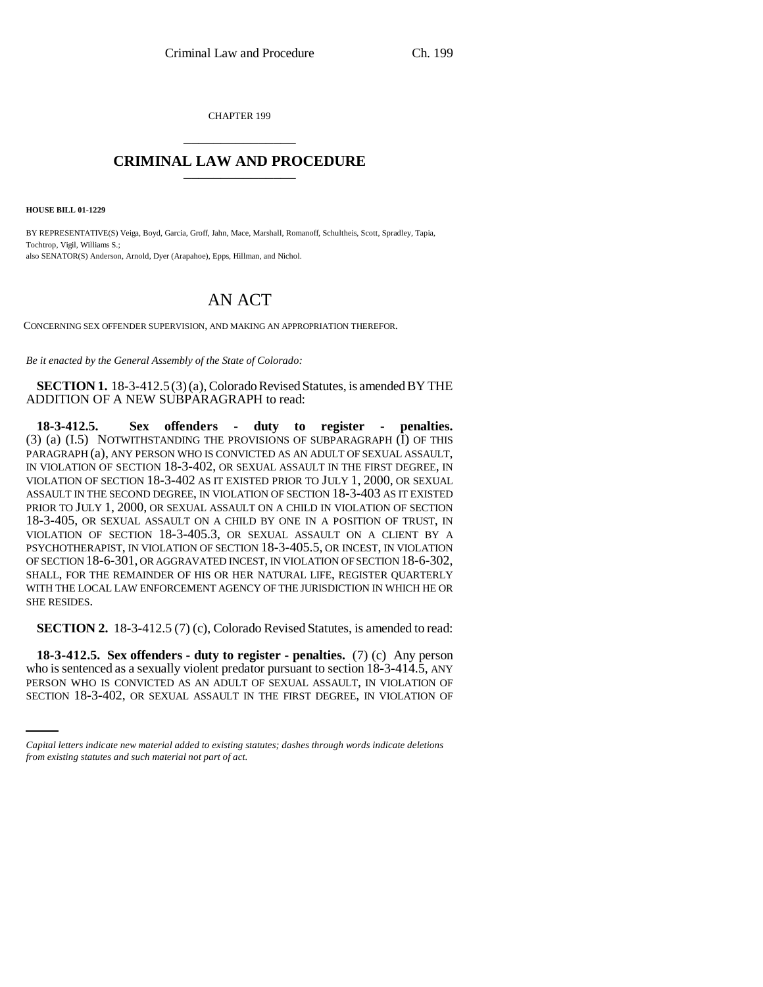CHAPTER 199 \_\_\_\_\_\_\_\_\_\_\_\_\_\_\_

## **CRIMINAL LAW AND PROCEDURE** \_\_\_\_\_\_\_\_\_\_\_\_\_\_\_

**HOUSE BILL 01-1229**

BY REPRESENTATIVE(S) Veiga, Boyd, Garcia, Groff, Jahn, Mace, Marshall, Romanoff, Schultheis, Scott, Spradley, Tapia, Tochtrop, Vigil, Williams S.; also SENATOR(S) Anderson, Arnold, Dyer (Arapahoe), Epps, Hillman, and Nichol.

## AN ACT

CONCERNING SEX OFFENDER SUPERVISION, AND MAKING AN APPROPRIATION THEREFOR.

*Be it enacted by the General Assembly of the State of Colorado:*

**SECTION 1.** 18-3-412.5 (3) (a), Colorado Revised Statutes, is amended BY THE ADDITION OF A NEW SUBPARAGRAPH to read:

**18-3-412.5. Sex offenders - duty to register - penalties.** (3) (a) (I.5) NOTWITHSTANDING THE PROVISIONS OF SUBPARAGRAPH (I) OF THIS PARAGRAPH (a), ANY PERSON WHO IS CONVICTED AS AN ADULT OF SEXUAL ASSAULT, IN VIOLATION OF SECTION 18-3-402, OR SEXUAL ASSAULT IN THE FIRST DEGREE, IN VIOLATION OF SECTION 18-3-402 AS IT EXISTED PRIOR TO JULY 1, 2000, OR SEXUAL ASSAULT IN THE SECOND DEGREE, IN VIOLATION OF SECTION 18-3-403 AS IT EXISTED PRIOR TO JULY 1, 2000, OR SEXUAL ASSAULT ON A CHILD IN VIOLATION OF SECTION 18-3-405, OR SEXUAL ASSAULT ON A CHILD BY ONE IN A POSITION OF TRUST, IN VIOLATION OF SECTION 18-3-405.3, OR SEXUAL ASSAULT ON A CLIENT BY A PSYCHOTHERAPIST, IN VIOLATION OF SECTION 18-3-405.5, OR INCEST, IN VIOLATION OF SECTION 18-6-301, OR AGGRAVATED INCEST, IN VIOLATION OF SECTION 18-6-302, SHALL, FOR THE REMAINDER OF HIS OR HER NATURAL LIFE, REGISTER QUARTERLY WITH THE LOCAL LAW ENFORCEMENT AGENCY OF THE JURISDICTION IN WHICH HE OR SHE RESIDES.

**SECTION 2.** 18-3-412.5 (7) (c), Colorado Revised Statutes, is amended to read:

who is sentenced as a sexually violent predator pursuant to section 18-3-414.5, ANY **18-3-412.5. Sex offenders - duty to register - penalties.** (7) (c) Any person PERSON WHO IS CONVICTED AS AN ADULT OF SEXUAL ASSAULT, IN VIOLATION OF SECTION 18-3-402, OR SEXUAL ASSAULT IN THE FIRST DEGREE, IN VIOLATION OF

*Capital letters indicate new material added to existing statutes; dashes through words indicate deletions from existing statutes and such material not part of act.*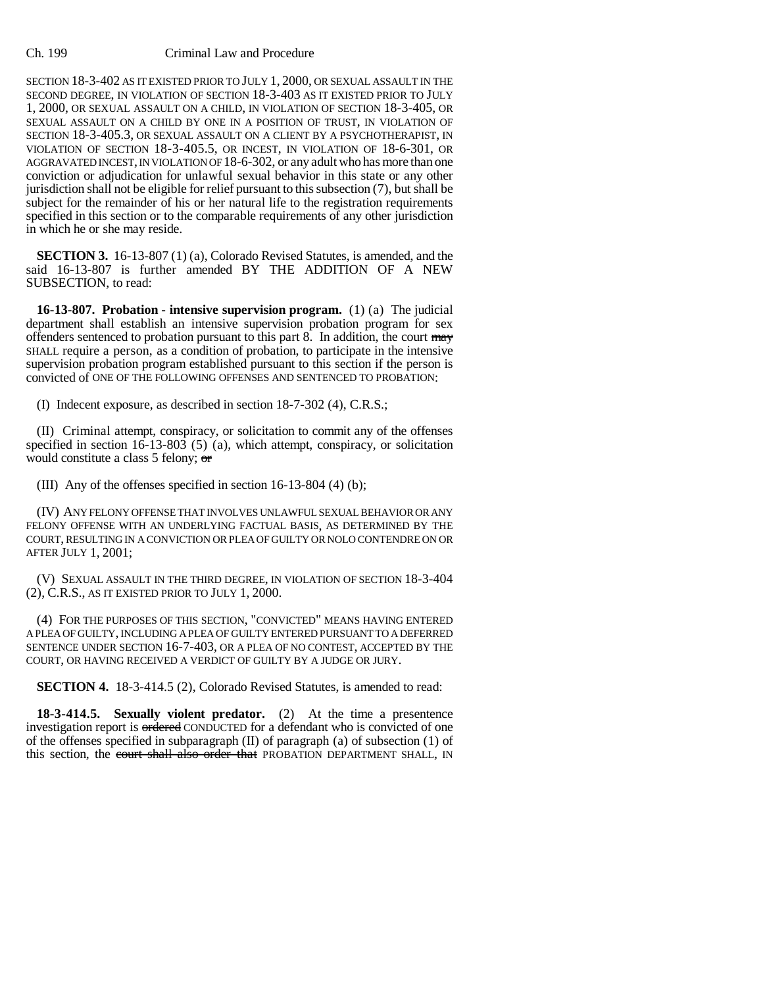## Ch. 199 Criminal Law and Procedure

SECTION 18-3-402 AS IT EXISTED PRIOR TO JULY 1, 2000, OR SEXUAL ASSAULT IN THE SECOND DEGREE, IN VIOLATION OF SECTION 18-3-403 AS IT EXISTED PRIOR TO JULY 1, 2000, OR SEXUAL ASSAULT ON A CHILD, IN VIOLATION OF SECTION 18-3-405, OR SEXUAL ASSAULT ON A CHILD BY ONE IN A POSITION OF TRUST, IN VIOLATION OF SECTION 18-3-405.3, OR SEXUAL ASSAULT ON A CLIENT BY A PSYCHOTHERAPIST, IN VIOLATION OF SECTION 18-3-405.5, OR INCEST, IN VIOLATION OF 18-6-301, OR AGGRAVATED INCEST, IN VIOLATION OF 18-6-302, or any adult who has more than one conviction or adjudication for unlawful sexual behavior in this state or any other jurisdiction shall not be eligible for relief pursuant to this subsection (7), but shall be subject for the remainder of his or her natural life to the registration requirements specified in this section or to the comparable requirements of any other jurisdiction in which he or she may reside.

**SECTION 3.** 16-13-807 (1) (a), Colorado Revised Statutes, is amended, and the said 16-13-807 is further amended BY THE ADDITION OF A NEW SUBSECTION, to read:

**16-13-807. Probation - intensive supervision program.** (1) (a) The judicial department shall establish an intensive supervision probation program for sex offenders sentenced to probation pursuant to this part 8. In addition, the court may SHALL require a person, as a condition of probation, to participate in the intensive supervision probation program established pursuant to this section if the person is convicted of ONE OF THE FOLLOWING OFFENSES AND SENTENCED TO PROBATION:

(I) Indecent exposure, as described in section 18-7-302 (4), C.R.S.;

(II) Criminal attempt, conspiracy, or solicitation to commit any of the offenses specified in section  $16-13-803$  (5) (a), which attempt, conspiracy, or solicitation would constitute a class 5 felony; or

(III) Any of the offenses specified in section 16-13-804 (4) (b);

(IV) ANY FELONY OFFENSE THAT INVOLVES UNLAWFUL SEXUAL BEHAVIOR OR ANY FELONY OFFENSE WITH AN UNDERLYING FACTUAL BASIS, AS DETERMINED BY THE COURT, RESULTING IN A CONVICTION OR PLEA OF GUILTY OR NOLO CONTENDRE ON OR AFTER JULY 1, 2001;

(V) SEXUAL ASSAULT IN THE THIRD DEGREE, IN VIOLATION OF SECTION 18-3-404 (2), C.R.S., AS IT EXISTED PRIOR TO JULY 1, 2000.

(4) FOR THE PURPOSES OF THIS SECTION, "CONVICTED" MEANS HAVING ENTERED A PLEA OF GUILTY, INCLUDING A PLEA OF GUILTY ENTERED PURSUANT TO A DEFERRED SENTENCE UNDER SECTION 16-7-403, OR A PLEA OF NO CONTEST, ACCEPTED BY THE COURT, OR HAVING RECEIVED A VERDICT OF GUILTY BY A JUDGE OR JURY.

**SECTION 4.** 18-3-414.5 (2), Colorado Revised Statutes, is amended to read:

**18-3-414.5. Sexually violent predator.** (2) At the time a presentence investigation report is ordered CONDUCTED for a defendant who is convicted of one of the offenses specified in subparagraph (II) of paragraph (a) of subsection (1) of this section, the court shall also order that PROBATION DEPARTMENT SHALL, IN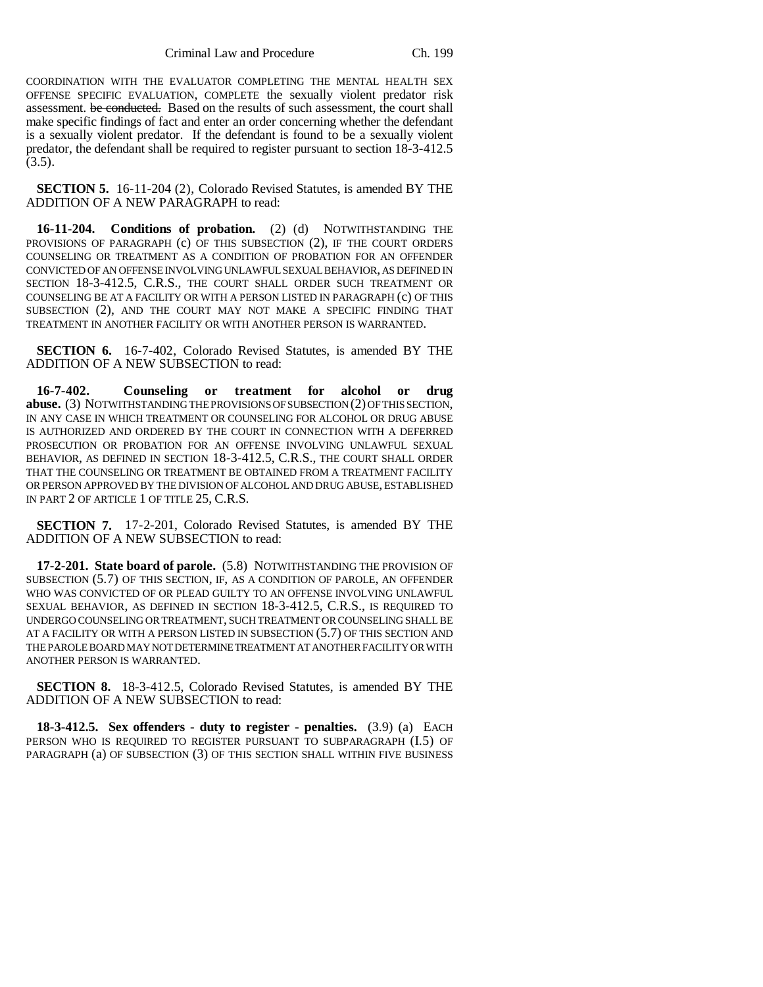COORDINATION WITH THE EVALUATOR COMPLETING THE MENTAL HEALTH SEX OFFENSE SPECIFIC EVALUATION, COMPLETE the sexually violent predator risk assessment. be conducted. Based on the results of such assessment, the court shall make specific findings of fact and enter an order concerning whether the defendant is a sexually violent predator. If the defendant is found to be a sexually violent predator, the defendant shall be required to register pursuant to section 18-3-412.5  $(3.5).$ 

**SECTION 5.** 16-11-204 (2), Colorado Revised Statutes, is amended BY THE ADDITION OF A NEW PARAGRAPH to read:

**16-11-204. Conditions of probation.** (2) (d) NOTWITHSTANDING THE PROVISIONS OF PARAGRAPH (c) OF THIS SUBSECTION (2), IF THE COURT ORDERS COUNSELING OR TREATMENT AS A CONDITION OF PROBATION FOR AN OFFENDER CONVICTED OF AN OFFENSE INVOLVING UNLAWFUL SEXUAL BEHAVIOR, AS DEFINED IN SECTION 18-3-412.5, C.R.S., THE COURT SHALL ORDER SUCH TREATMENT OR COUNSELING BE AT A FACILITY OR WITH A PERSON LISTED IN PARAGRAPH (c) OF THIS SUBSECTION (2), AND THE COURT MAY NOT MAKE A SPECIFIC FINDING THAT TREATMENT IN ANOTHER FACILITY OR WITH ANOTHER PERSON IS WARRANTED.

**SECTION 6.** 16-7-402, Colorado Revised Statutes, is amended BY THE ADDITION OF A NEW SUBSECTION to read:

**16-7-402. Counseling or treatment for alcohol or drug abuse.** (3) NOTWITHSTANDING THE PROVISIONS OF SUBSECTION (2) OF THIS SECTION, IN ANY CASE IN WHICH TREATMENT OR COUNSELING FOR ALCOHOL OR DRUG ABUSE IS AUTHORIZED AND ORDERED BY THE COURT IN CONNECTION WITH A DEFERRED PROSECUTION OR PROBATION FOR AN OFFENSE INVOLVING UNLAWFUL SEXUAL BEHAVIOR, AS DEFINED IN SECTION 18-3-412.5, C.R.S., THE COURT SHALL ORDER THAT THE COUNSELING OR TREATMENT BE OBTAINED FROM A TREATMENT FACILITY OR PERSON APPROVED BY THE DIVISION OF ALCOHOL AND DRUG ABUSE, ESTABLISHED IN PART 2 OF ARTICLE 1 OF TITLE 25, C.R.S.

**SECTION 7.** 17-2-201, Colorado Revised Statutes, is amended BY THE ADDITION OF A NEW SUBSECTION to read:

**17-2-201. State board of parole.** (5.8) NOTWITHSTANDING THE PROVISION OF SUBSECTION (5.7) OF THIS SECTION, IF, AS A CONDITION OF PAROLE, AN OFFENDER WHO WAS CONVICTED OF OR PLEAD GUILTY TO AN OFFENSE INVOLVING UNLAWFUL SEXUAL BEHAVIOR, AS DEFINED IN SECTION 18-3-412.5, C.R.S., IS REQUIRED TO UNDERGO COUNSELING OR TREATMENT, SUCH TREATMENT OR COUNSELING SHALL BE AT A FACILITY OR WITH A PERSON LISTED IN SUBSECTION (5.7) OF THIS SECTION AND THE PAROLE BOARD MAY NOT DETERMINE TREATMENT AT ANOTHER FACILITY OR WITH ANOTHER PERSON IS WARRANTED.

**SECTION 8.** 18-3-412.5, Colorado Revised Statutes, is amended BY THE ADDITION OF A NEW SUBSECTION to read:

**18-3-412.5. Sex offenders - duty to register - penalties.** (3.9) (a) EACH PERSON WHO IS REQUIRED TO REGISTER PURSUANT TO SUBPARAGRAPH (I.5) OF PARAGRAPH (a) OF SUBSECTION (3) OF THIS SECTION SHALL WITHIN FIVE BUSINESS